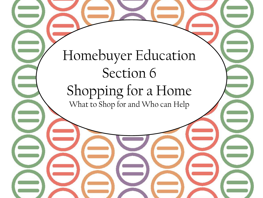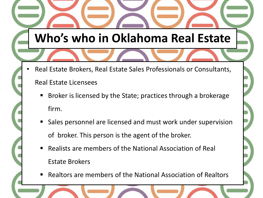# **Who's who in Oklahoma Real Estate**

• Real Estate Brokers, Real Estate Sales Professionals or Consultants,

### Real Estate Licensees

- Broker is licensed by the State; practices through a brokerage firm.
- **Sales personnel are licensed and must work under supervision** of broker. This person is the agent of the broker.
- Realists are members of the National Association of Real Estate Brokers
- Realtors are members of the National Association of Realtors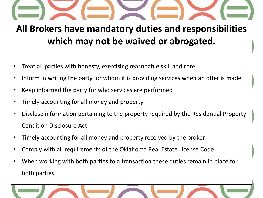**All Brokers have mandatory duties and responsibilities which may not be waived or abrogated.**

- Treat all parties with honesty, exercising reasonable skill and care.
- Inform in writing the party for whom it is providing services when an offer is made.
- Keep informed the party for who services are performed
- Timely accounting for all money and property
- Disclose information pertaining to the property required by the Residential Property Condition Disclosure Act
- Timely accounting for all money and property received by the broker
- Comply with all requirements of the Oklahoma Real Estate License Code
- When working with both parties to a transaction these duties remain in place for both parties

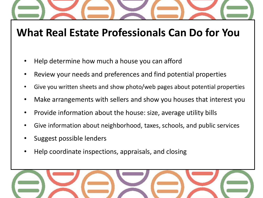# **What Real Estate Professionals Can Do for You**

- Help determine how much a house you can afford
- Review your needs and preferences and find potential properties
- Give you written sheets and show photo/web pages about potential properties
- Make arrangements with sellers and show you houses that interest you
- Provide information about the house: size, average utility bills
- Give information about neighborhood, taxes, schools, and public services
- Suggest possible lenders
- Help coordinate inspections, appraisals, and closing

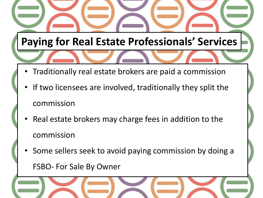# **Paying for Real Estate Professionals' Services**

- Traditionally real estate brokers are paid a commission
- If two licensees are involved, traditionally they split the commission
- Real estate brokers may charge fees in addition to the commission
- Some sellers seek to avoid paying commission by doing a

FSBO- For Sale By Owner

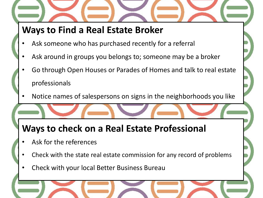## **Ways to Find a Real Estate Broker**

- Ask someone who has purchased recently for a referral
- Ask around in groups you belongs to; someone may be a broker
- Go through Open Houses or Parades of Homes and talk to real estate professionals
- Notice names of salespersons on signs in the neighborhoods you like

## **Ways to check on a Real Estate Professional**

- Ask for the references
- Check with the state real estate commission for any record of problems
- Check with your local Better Business Bureau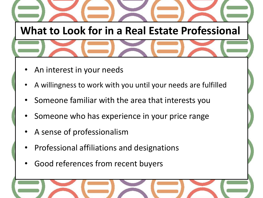**What to Look for in a Real Estate Professional**

- An interest in your needs
- A willingness to work with you until your needs are fulfilled
- Someone familiar with the area that interests you
- Someone who has experience in your price range
- A sense of professionalism
- Professional affiliations and designations
- Good references from recent buyers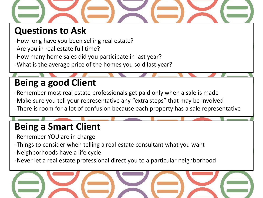

## **Questions to Ask**

-How long have you been selling real estate?

- -Are you in real estate full time?
- -How many home sales did you participate in last year?
- -What is the average price of the homes you sold last year?

## **Being a good Client**

-Remember most real estate professionals get paid only when a sale is made -Make sure you tell your representative any "extra steps" that may be involved -There is room for a lot of confusion because each property has a sale representative

## **Being a Smart Client**

- -Remember YOU are in charge
- -Things to consider when telling a real estate consultant what you want
- -Neighborhoods have a life cycle
- -Never let a real estate professional direct you to a particular neighborhood

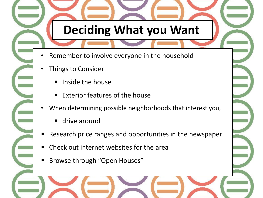# **Deciding What you Want**

- Remember to involve everyone in the household
- Things to Consider
	- Inside the house
	- Exterior features of the house
- When determining possible neighborhoods that interest you,
	- **drive around**
- Research price ranges and opportunities in the newspaper
- Check out internet websites for the area
- Browse through "Open Houses"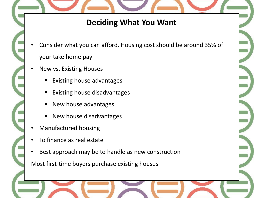#### **Deciding What You Want**

- Consider what you can afford. Housing cost should be around 35% of your take home pay
- New vs. Existing Houses
	- Existing house advantages
	- Existing house disadvantages
	- New house advantages
	- New house disadvantages
- Manufactured housing
- To finance as real estate
- Best approach may be to handle as new construction

Most first-time buyers purchase existing houses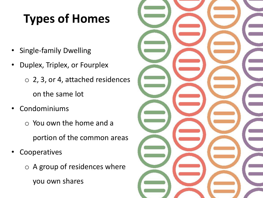# **Types of Homes**

- Single-family Dwelling
- Duplex, Triplex, or Fourplex
	- o 2, 3, or 4, attached residences on the same lot
- Condominiums
	- o You own the home and a portion of the common areas
- Cooperatives
	- o A group of residences where you own shares

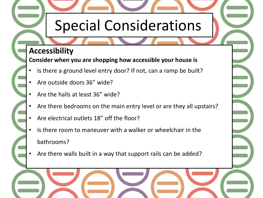# Special Considerations

#### **Accessibility**

**Consider when you are shopping how accessible your house is**

- Is there a ground level entry door? If not, can a ramp be built?
- Are outside doors 36" wide?
- Are the halls at least 36" wide?
- Are there bedrooms on the main entry level or are they all upstairs?
- Are electrical outlets 18" off the floor?
- Is there room to maneuver with a walker or wheelchair in the bathrooms?
- Are there walls built in a way that support rails can be added?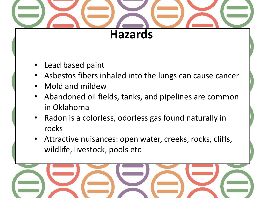

- Lead based paint
- Asbestos fibers inhaled into the lungs can cause cancer
- Mold and mildew
- Abandoned oil fields, tanks, and pipelines are common in Oklahoma
- Radon is a colorless, odorless gas found naturally in rocks
- Attractive nuisances: open water, creeks, rocks, cliffs, wildlife, livestock, pools etc

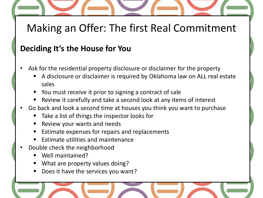# Making an Offer: The first Real Commitment

### **Deciding It's the House for You**

- Ask for the residential property disclosure or disclaimer for the property
	- A disclosure or disclaimer is required by Oklahoma law on ALL real estate sales
	- You must receive it prior to signing a contract of sale
	- Review it carefully and take a second look at any items of interest
- Go back and look a second time at houses you think you want to purchase
	- Take a list of things the inspector looks for
	- Review your wants and needs
	- Estimate expenses for repairs and replacements
	- Estimate utilities and maintenance
- Double check the neighborhood
	- Well maintained?
	- What are property values doing?
	- Does it have the services you want?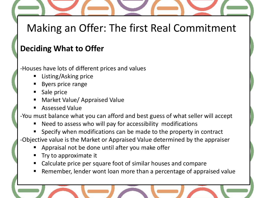# Making an Offer: The first Real Commitment

## **Deciding What to Offer**

- -Houses have lots of different prices and values
	- Listing/Asking price
	- Byers price range
	- Sale price
	- Market Value/ Appraised Value
	- Assessed Value

-You must balance what you can afford and best guess of what seller will accept

Need to assess who will pay for accessibility modifications

Specify when modifications can be made to the property in contract

-Objective value is the Market or Appraised Value determined by the appraiser

- Appraisal not be done until after you make offer
- Try to approximate it
- Calculate price per square foot of similar houses and compare
- Remember, lender wont loan more than a percentage of appraised value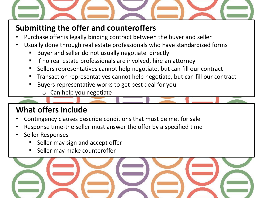

## **Submitting the offer and counteroffers**

- Purchase offer is legally binding contract between the buyer and seller
- Usually done through real estate professionals who have standardized forms
	- Buyer and seller do not usually negotiate directly
	- If no real estate professionals are involved, hire an attorney
	- Sellers representatives cannot help negotiate, but can fill our contract
	- Transaction representatives cannot help negotiate, but can fill our contract
	- Buyers representative works to get best deal for you
		- o Can help you negotiate

## **What offers include**

- Contingency clauses describe conditions that must be met for sale
- Response time-the seller must answer the offer by a specified time
- Seller Responses
	- Seller may sign and accept offer
	- Seller may make counteroffer

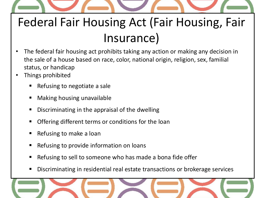

# Federal Fair Housing Act (Fair Housing, Fair Insurance)

- The federal fair housing act prohibits taking any action or making any decision in the sale of a house based on race, color, national origin, religion, sex, familial status, or handicap
- Things prohibited
	- Refusing to negotiate a sale
	- **•** Making housing unavailable
	- Discriminating in the appraisal of the dwelling
	- Offering different terms or conditions for the loan
	- Refusing to make a loan
	- **EXECUTE:** Refusing to provide information on loans
	- Refusing to sell to someone who has made a bona fide offer
	- Discriminating in residential real estate transactions or brokerage services